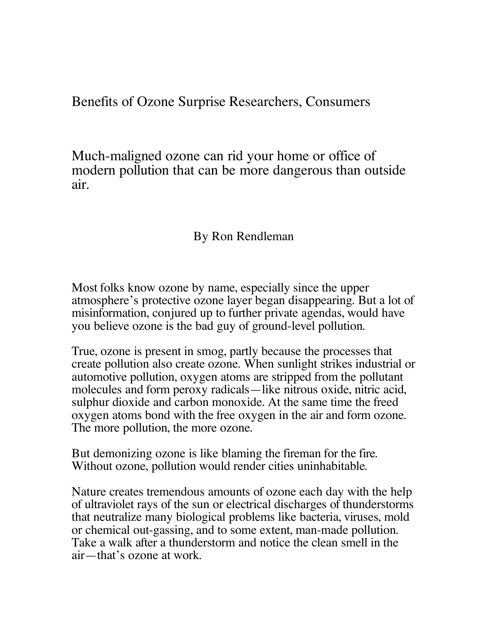Benefits of Ozone Surprise Researchers, Consumers

Much-maligned ozone can rid your home or office of modern pollution that can be more dangerous than outside air.

## By Ron Rendleman

Most folks know ozone by name, especially since the upper atmosphere's protective ozone layer began disappearing. But a lot of misinformation, conjured up to further private agendas, would have you believe ozone is the bad guy of ground-level pollution.

True, ozone is present in smog, partly because the processes that create pollution also create ozone. When sunlight strikes industrial or automotive pollution, oxygen atoms are stripped from the pollutant molecules and form peroxy radicals—like nitrous oxide, nitric acid, sulphur dioxide and carbon monoxide. At the same time the freed oxygen atoms bond with the free oxygen in the air and form ozone. The more pollution, the more ozone.

But demonizing ozone is like blaming the fireman for the fire. Without ozone, pollution would render cities uninhabitable.

Nature creates tremendous amounts of ozone each day with the help of ultraviolet rays of the sun or electrical discharges of thunderstorms that neutralize many biological problems like bacteria, viruses, mold or chemical out-gassing, and to some extent, man-made pollution. Take <sup>a</sup> walk after <sup>a</sup> thunderstorm and notice the clean smell in the air—that's ozone at work.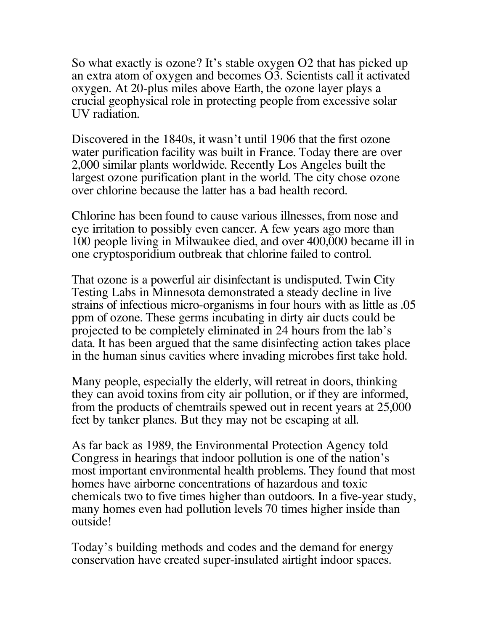So what exactly is ozone? It's stable oxygen O2 that has picked up an extra atom of oxygen and becomes O3. Scientists call it activated oxygen. At 20-plus miles above Earth, the ozone layer plays a crucial geophysical role in protecting people from excessive solar UV radiation.

Discovered in the 1840s, it wasn't until 1906 that the first ozone water purification facility was built in France. Today there are over 2,000 similar plants worldwide. Recently Los Angeles built the largest ozone purification plant in the world. The city chose ozone over chlorine because the latter has a bad health record.

Chlorine has been found to cause various illnesses, from nose and eye irritation to possibly even cancer. A few years ago more than 100 people living in Milwaukee died, and over 400,000 became ill in one cryptosporidium outbreak that chlorine failed to control.

That ozone is a powerful air disinfectant is undisputed. Twin City Testing Labs in Minnesota demonstrated a steady decline in live strains of infectious micro-organisms in four hours with as little as .05 ppm of ozone. These germs incubating in dirty air ducts could be projected to be completely eliminated in 24 hours from the lab's data. It has been argued that the same disinfecting action takes place in the human sinus cavities where invading microbes first take hold.

Many people, especially the elderly, will retreat in doors, thinking they can avoid toxins from city air pollution, or if they are informed, from the products of chemtrails spewed out in recent years at 25,000 feet by tanker planes. But they may not be escaping at all.

As far back as 1989, the Environmental Protection Agency told Congress in hearings that indoor pollution is one of the nation's most important environmental health problems. They found that most homes have airborne concentrations of hazardous and toxic chemicals two to five times higher than outdoors. In a five-year study, many homes even had pollution levels 70 times higher inside than outside!

Today's building methods and codes and the demand for energy conservation have created super-insulated airtight indoor spaces.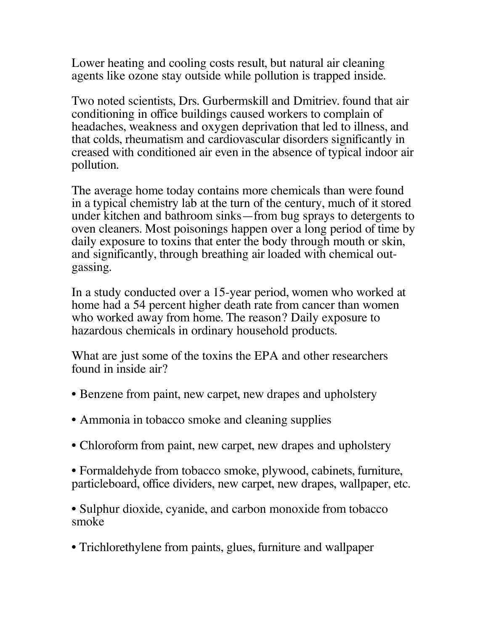Lower heating and cooling costs result, but natural air cleaning agents like ozone stay outside while pollution is trapped inside.

Two noted scientists, Drs. Gurbermskill and Dmitriev. found that air conditioning in office buildings caused workers to complain of headaches, weakness and oxygen deprivation that led to illness, and that colds, rheumatism and cardiovascular disorders significantly in creased with conditioned air even in the absence of typical indoor air pollution.

The average home today contains more chemicals than were found in a typical chemistry lab at the turn of the century, much of it stored under kitchen and bathroom sinks—from bug sprays to detergents to oven cleaners. Most poisonings happen over a long period of time by daily exposure to toxins that enter the body through mouth or skin, and significantly, through breathing air loaded with chemical outgassing.

In a study conducted over a 15-year period, women who worked at home had a 54 percent higher death rate from cancer than women who worked away from home. The reason? Daily exposure to hazardous chemicals in ordinary household products.

What are just some of the toxins the EPA and other researchers found in inside air?

- Benzene from paint, new carpet, new drapes and upholstery
- Ammonia in tobacco smoke and cleaning supplies
- Chloroform from paint, new carpet, new drapes and upholstery
- Formaldehyde from tobacco smoke, plywood, cabinets, furniture, particleboard, office dividers, new carpet, new drapes, wallpaper, etc.

• Sulphur dioxide, cyanide, and carbon monoxide from tobacco smoke

• Trichlorethylene from paints, glues, furniture and wallpaper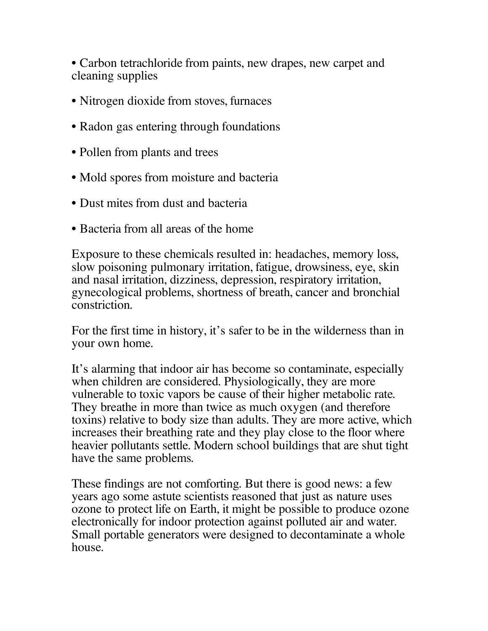• Carbon tetrachloride from paints, new drapes, new carpet and cleaning supplies

- Nitrogen dioxide from stoves, furnaces
- Radon gas entering through foundations
- Pollen from plants and trees
- Mold spores from moisture and bacteria
- Dust mites from dust and bacteria
- Bacteria from all areas of the home

Exposure to these chemicals resulted in: headaches, memory loss, slow poisoning pulmonary irritation, fatigue, drowsiness, eye, skin and nasal irritation, dizziness, depression, respiratory irritation, gynecological problems, shortness of breath, cancer and bronchial constriction.

For the first time in history, it's safer to be in the wilderness than in your own home.

It's alarming that indoor air has become so contaminate, especially when children are considered. Physiologically, they are more vulnerable to toxic vapors be cause of their higher metabolic rate. They breathe in more than twice as much oxygen (and therefore toxins) relative to body size than adults. They are more active, which increases their breathing rate and they play close to the floor where heavier pollutants settle. Modern school buildings that are shut tight have the same problems.

These findings are not comforting. But there is good news: a few years ago some astute scientists reasoned that just as nature uses ozone to protect life on Earth, it might be possible to produce ozone electronically for indoor protection against polluted air and water. Small portable generators were designed to decontaminate a whole house.